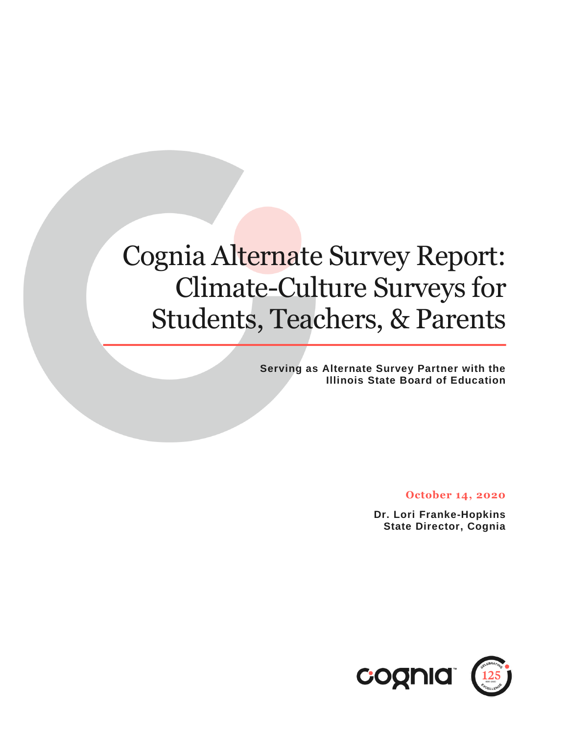# Cognia Alternate Survey Report: Climate-Culture Surveys for Students, Teachers, & Parents

**Serving as Alternate Survey Partner with the Illinois State Board of Education**

**October 14, 2020**

**Dr. Lori Franke-Hopkins State Director, Cognia**

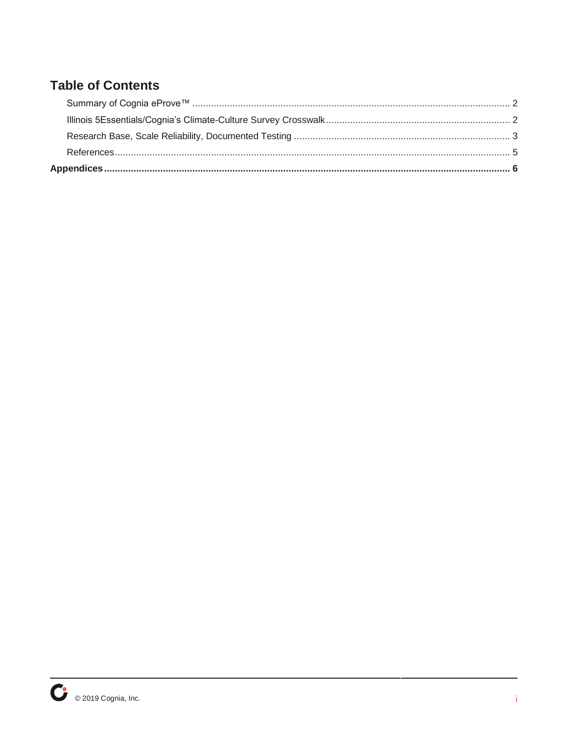#### **Table of Contents**

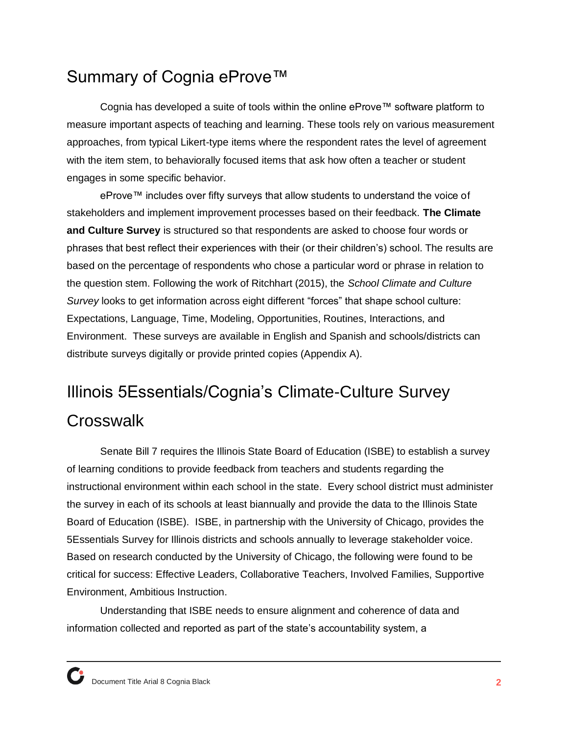### <span id="page-2-0"></span>Summary of Cognia eProve™

Cognia has developed a suite of tools within the online eProve™ software platform to measure important aspects of teaching and learning. These tools rely on various measurement approaches, from typical Likert-type items where the respondent rates the level of agreement with the item stem, to behaviorally focused items that ask how often a teacher or student engages in some specific behavior.

eProve™ includes over fifty surveys that allow students to understand the voice of stakeholders and implement improvement processes based on their feedback. **The Climate and Culture Survey** is structured so that respondents are asked to choose four words or phrases that best reflect their experiences with their (or their children's) school. The results are based on the percentage of respondents who chose a particular word or phrase in relation to the question stem. Following the work of Ritchhart (2015), the *School Climate and Culture Survey* looks to get information across eight different "forces" that shape school culture: Expectations, Language, Time, Modeling, Opportunities, Routines, Interactions, and Environment. These surveys are available in English and Spanish and schools/districts can distribute surveys digitally or provide printed copies (Appendix A).

## <span id="page-2-1"></span>Illinois 5Essentials/Cognia's Climate-Culture Survey **Crosswalk**

Senate Bill 7 requires the Illinois State Board of Education (ISBE) to establish a survey of learning conditions to provide feedback from teachers and students regarding the instructional environment within each school in the state. Every school district must administer the survey in each of its schools at least biannually and provide the data to the Illinois State Board of Education (ISBE). ISBE, in partnership with the University of Chicago, provides the 5Essentials Survey for Illinois districts and schools annually to leverage stakeholder voice. Based on research conducted by the University of Chicago, the following were found to be critical for success: Effective Leaders, Collaborative Teachers, Involved Families, Supportive Environment, Ambitious Instruction.

Understanding that ISBE needs to ensure alignment and coherence of data and information collected and reported as part of the state's accountability system, a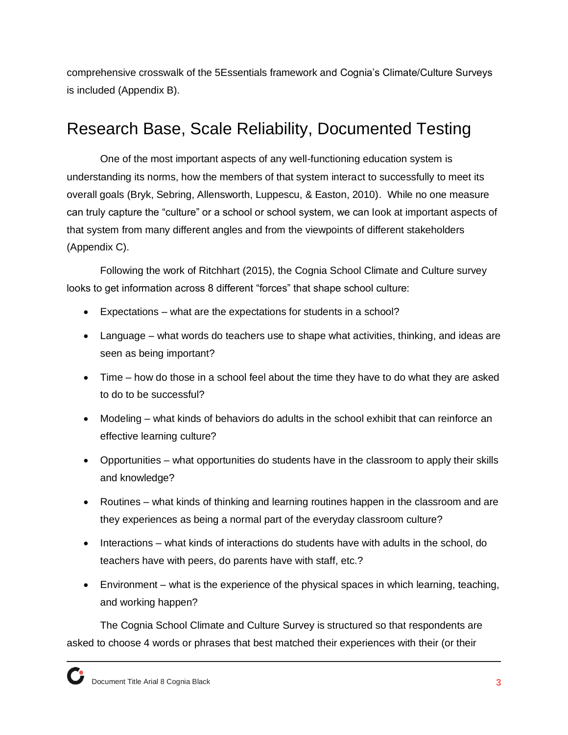comprehensive crosswalk of the 5Essentials framework and Cognia's Climate/Culture Surveys is included (Appendix B).

### <span id="page-3-0"></span>Research Base, Scale Reliability, Documented Testing

One of the most important aspects of any well-functioning education system is understanding its norms, how the members of that system interact to successfully to meet its overall goals (Bryk, Sebring, Allensworth, Luppescu, & Easton, 2010). While no one measure can truly capture the "culture" or a school or school system, we can look at important aspects of that system from many different angles and from the viewpoints of different stakeholders (Appendix C).

Following the work of Ritchhart (2015), the Cognia School Climate and Culture survey looks to get information across 8 different "forces" that shape school culture:

- Expectations what are the expectations for students in a school?
- Language what words do teachers use to shape what activities, thinking, and ideas are seen as being important?
- Time how do those in a school feel about the time they have to do what they are asked to do to be successful?
- Modeling what kinds of behaviors do adults in the school exhibit that can reinforce an effective learning culture?
- Opportunities what opportunities do students have in the classroom to apply their skills and knowledge?
- Routines what kinds of thinking and learning routines happen in the classroom and are they experiences as being a normal part of the everyday classroom culture?
- Interactions what kinds of interactions do students have with adults in the school, do teachers have with peers, do parents have with staff, etc.?
- Environment what is the experience of the physical spaces in which learning, teaching, and working happen?

The Cognia School Climate and Culture Survey is structured so that respondents are asked to choose 4 words or phrases that best matched their experiences with their (or their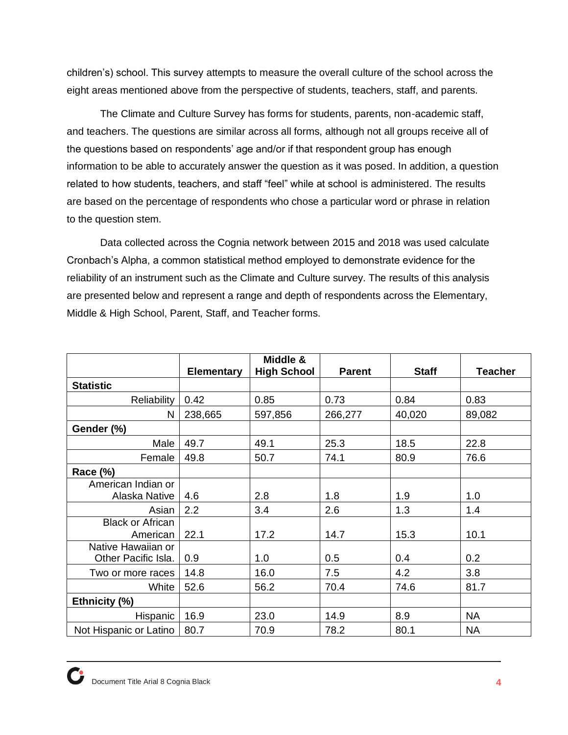children's) school. This survey attempts to measure the overall culture of the school across the eight areas mentioned above from the perspective of students, teachers, staff, and parents.

The Climate and Culture Survey has forms for students, parents, non-academic staff, and teachers. The questions are similar across all forms, although not all groups receive all of the questions based on respondents' age and/or if that respondent group has enough information to be able to accurately answer the question as it was posed. In addition, a question related to how students, teachers, and staff "feel" while at school is administered. The results are based on the percentage of respondents who chose a particular word or phrase in relation to the question stem.

Data collected across the Cognia network between 2015 and 2018 was used calculate Cronbach's Alpha, a common statistical method employed to demonstrate evidence for the reliability of an instrument such as the Climate and Culture survey. The results of this analysis are presented below and represent a range and depth of respondents across the Elementary, Middle & High School, Parent, Staff, and Teacher forms.

|                         | <b>Elementary</b> | Middle &<br><b>High School</b> | <b>Parent</b> | <b>Staff</b> | <b>Teacher</b> |
|-------------------------|-------------------|--------------------------------|---------------|--------------|----------------|
| <b>Statistic</b>        |                   |                                |               |              |                |
| <b>Reliability</b>      | 0.42              | 0.85                           | 0.73          | 0.84         | 0.83           |
| N                       | 238,665           | 597,856                        | 266,277       | 40,020       | 89,082         |
| Gender (%)              |                   |                                |               |              |                |
| Male                    | 49.7              | 49.1                           | 25.3          | 18.5         | 22.8           |
| Female                  | 49.8              | 50.7                           | 74.1          | 80.9         | 76.6           |
| Race (%)                |                   |                                |               |              |                |
| American Indian or      |                   |                                |               |              |                |
| Alaska Native           | 4.6               | 2.8                            | 1.8           | 1.9          | 1.0            |
| Asian                   | 2.2               | 3.4                            | 2.6           | 1.3          | 1.4            |
| <b>Black or African</b> |                   |                                |               |              |                |
| American                | 22.1              | 17.2                           | 14.7          | 15.3         | 10.1           |
| Native Hawaiian or      |                   |                                |               |              |                |
| Other Pacific Isla.     | 0.9               | 1.0                            | 0.5           | 0.4          | 0.2            |
| Two or more races       | 14.8              | 16.0                           | 7.5           | 4.2          | 3.8            |
| White                   | 52.6              | 56.2                           | 70.4          | 74.6         | 81.7           |
| Ethnicity (%)           |                   |                                |               |              |                |
| Hispanic                | 16.9              | 23.0                           | 14.9          | 8.9          | <b>NA</b>      |
| Not Hispanic or Latino  | 80.7              | 70.9                           | 78.2          | 80.1         | <b>NA</b>      |

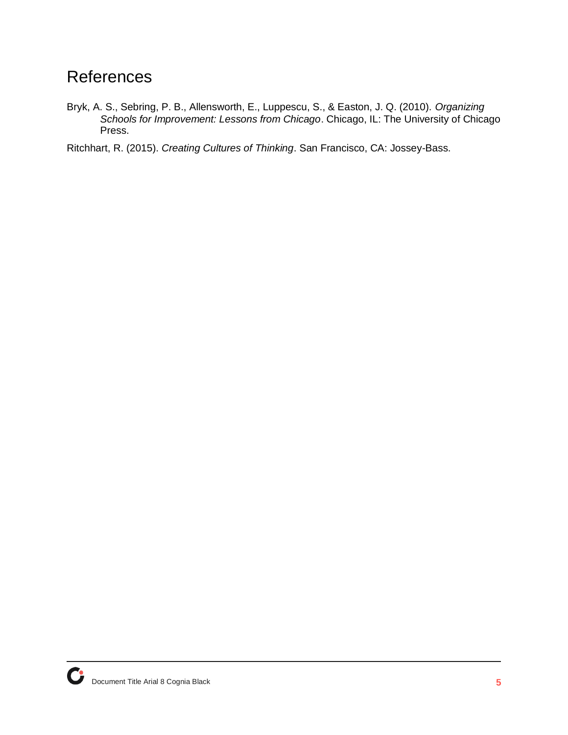### <span id="page-5-0"></span>**References**

Bryk, A. S., Sebring, P. B., Allensworth, E., Luppescu, S., & Easton, J. Q. (2010). *Organizing Schools for Improvement: Lessons from Chicago*. Chicago, IL: The University of Chicago Press.

Ritchhart, R. (2015). *Creating Cultures of Thinking*. San Francisco, CA: Jossey-Bass.